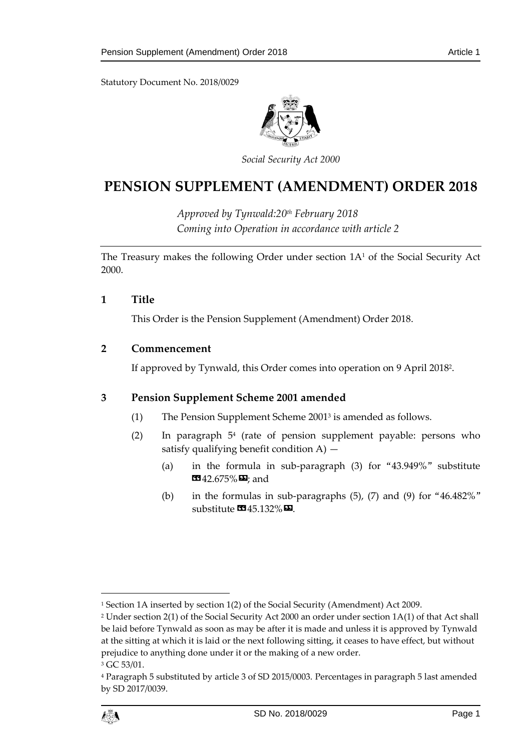Statutory Document No. 2018/0029



*Social Security Act 2000*

# **PENSION SUPPLEMENT (AMENDMENT) ORDER 2018**

*Approved by Tynwald:20th February 2018 Coming into Operation in accordance with article 2*

The Treasury makes the following Order under section 1A<sup>1</sup> of the Social Security Act 2000.

#### **1 Title**

This Order is the Pension Supplement (Amendment) Order 2018.

## **2 Commencement**

If approved by Tynwald, this Order comes into operation on 9 April 2018<sup>2</sup> .

#### **3 Pension Supplement Scheme 2001 amended**

- (1) The Pension Supplement Scheme 2001<sup>3</sup> is amended as follows.
- (2) In paragraph 5<sup>4</sup> (rate of pension supplement payable: persons who satisfy qualifying benefit condition  $A$ )  $-$ 
	- (a) in the formula in sub-paragraph (3) for "43.949%" substitute  $12.675\%$   $\Omega$ ; and
	- (b) in the formulas in sub-paragraphs (5), (7) and (9) for "46.482%" substitute  $\mathbf{C}$ 45.132% $\mathbf{D}$ .

<sup>4</sup> Paragraph 5 substituted by article 3 of SD 2015/0003. Percentages in paragraph 5 last amended by SD 2017/0039.



1

<sup>1</sup> Section 1A inserted by section 1(2) of the Social Security (Amendment) Act 2009.

<sup>2</sup> Under section 2(1) of the Social Security Act 2000 an order under section 1A(1) of that Act shall be laid before Tynwald as soon as may be after it is made and unless it is approved by Tynwald at the sitting at which it is laid or the next following sitting, it ceases to have effect, but without prejudice to anything done under it or the making of a new order.

<sup>&</sup>lt;sup>3</sup> GC 53/01.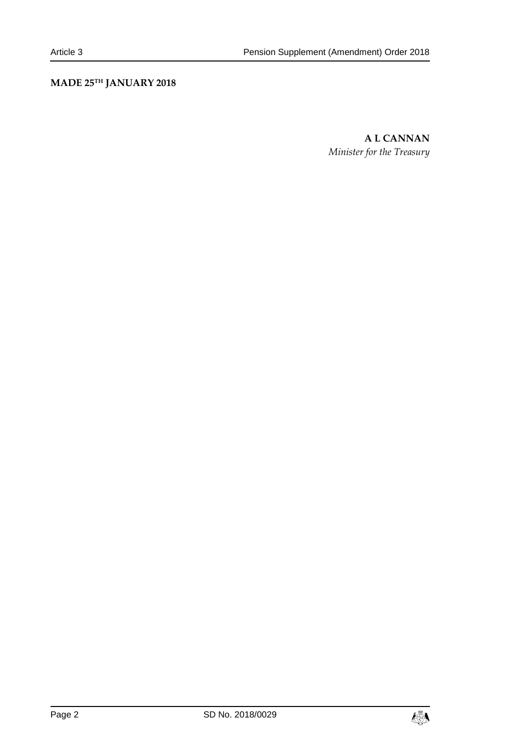# **MADE 25TH JANUARY 2018**

**A L CANNAN** *Minister for the Treasury*